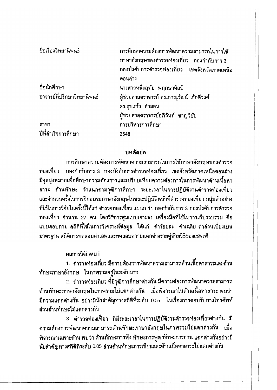| ชื่อเรื่องวิทยานิพนธ์        | การศึกษาความต้องการพัฒนาความสามารถในการใช้<br>ภาษาอังกฤษของดำรวจท่องเที่ยว กองกำกับการ 3<br>ึกองบังคับการดำรวจท่องเที่ยว เขตจังหวัตภาคเหนือ |
|------------------------------|---------------------------------------------------------------------------------------------------------------------------------------------|
|                              | ิตอนล่าง                                                                                                                                    |
| ชื่อนักศึกษา                 | นางสาวหนึ่งฤทัย พฤกษาศิลป์                                                                                                                  |
| ้อาจารย์ที่ปรึกษาวิทยานิพนธ์ | ผู้ช่วยศาสตราจารย์ ตร.ภาณุวัฒน์  ภักดีวงศ์<br>ดร.สุขแก้ว คำสอน                                                                              |
|                              |                                                                                                                                             |
|                              | ผู้ช่วยศาสตราจารย์อภิวันท์ ชาญวิชัย                                                                                                         |
| สาขา                         | การบริหารการศึกษา                                                                                                                           |
| ปีที่สำเร็จการศึกษา          | 2548                                                                                                                                        |

## บทคัดย่อ

การศึกษาความต้องการพัฒนาความสามารถในการใช้ภาษาอังกฤษของตำรวจ ท่องเที่ยว ึกองกำกับการ 3 ึกองบังคับการตำรวจท่องเที่ยว เขตจังหวัดภาคเหนือตอนล่าง มีจุตมุ่งหมายเพื่อศึกษาความต้องการและเปรียบเทียบความต้องการในการพัฒนาด้านเนื้อหา ี่ สาระ ด้านทักษะ จำแนกตามวุฒิการศึกษา ระยะเวลาในการปฏิบัติงานตำรวจท่องเที่ยว ้และจำนวนครั้งในการฝึกอบรมภาษาอังกฤษในขณะปฏิบัติหน้าที่ตำรวจท่องเที่ยว กลุ่มตัวอย่าง ้ที่ใช้ในการวิจัยในครั้งนี้ได้แก่ ดำรวจท่องเที่ยว แผนก 11 กองกำกับการ 3 กองบังคับการดำรวจ ี ท่องเที่ยว จำนวน 27 คน โดยวิธีการสุ่มแบบเจาะจง เครื่องมือที่ใช้ในการเก็บรวบรวม คือ ี แบบสอบถาม สถิติที่ใช้ในการวิเคราะห์ข้อมูล ได้แก่ ค่าร้อยละ ค่าเฉลี่ย ค่าส่วนเบี่ยงเบน มาตรฐาน สถิติการทดสอบค่าเอฟและทดสอบความแตกต่างรายคู่ด้วยวิธีของเชฟเฟ่

นลการวิจัยwuii

1. ตำรวจท่องเที่ยว มีความต้องการพัฒนาความสามารถด้านเนื้อหาสาระและด้าน ทักษะภาษาอังกฤษ ในภาพรวมอยู่ในระดับมาก

่ 2. ดำรวจท่องเที่ยว ที่มีวุฒิการศึกษาด่างกัน มีความต้องการพัฒนาความสามารถ ์ด้านทักษะภาษาอังกฤษในภาพรวมไม่แตกต่างกัน เมื่อพิจารณาในด้านเนื้อหาสาระ.พบว่า ี่มีความแดกด่างกัน อย่างมีนัยสำคัญทางสถิติที่ระดับ 0.05 ในเรื่องการตอบรับทางโทรศัพท์ ส่วนด้านทักษะไม่แตกต่างกัน

3. ตำรวจท่องเที่ยว ที่มีระยะเวลาในการปฏิบัติงานตำรวจท่องเที่ยวต่างกัน มี ์ ความต้องการพัฒนาความสามารถด้านทักษะภาษาอังกฤษในภาพรวมไม่แตกต่างกัน เมื่อ พิจารณาเฉพาะด้าน พบว่า ต้านทักษะการฟัง ทักษะการพูด ทักษะการอ่าน แดกต่างกันอย่างมี นัยสำคัญทางสถิติที่ระดับ 0.05 ส่วนด้านทักษะการเขียนและด้านเนื้อหาสาระไม่แตกต่างกัน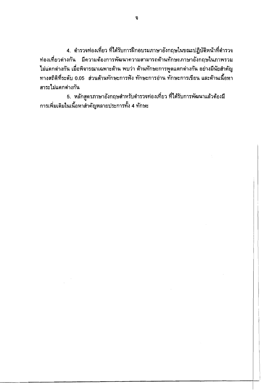4. ตำรวจท่องเที่ยว ที่ได้รับการฝึกอบรมภาษาอังกฤษในขณะปฏิบัติหน้าที่ตำรวจ ี่ท่องเที่ยวต่างกัน มีความต้องการพัฒนาความสามารถต้านทักษะภาษาอังกฤษในภาพรวม ไม่แตกต่างกัน เมื่อพิจารณาเฉพาะต้าน พบว่า ต้านทักษะการพูดแตกต่างกัน อย่างมีนัยสำคัญ ทางสถิติที่ระตับ 0.05 ส่วนต้านทักษะการฟัง ทักษะการอ่าน ทักษะการเขียน และต้านเนื้อหา สาระไม่แตกต่างกัน

5. หลักสูตรภาษาอังกฤษสำหรับดำรวจท่องเที่ยว ที่ได้รับการพัฒนาแล้วด้องมี <sub>ิ</sub> การเพิ่มเติมในเนื้อหาสำคัญหลายประการทั้ง 4 ทักษะ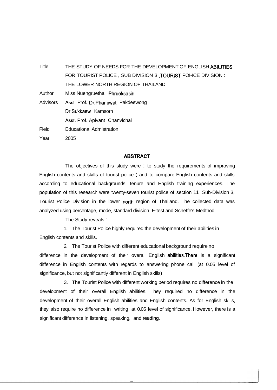Title THE STUDY OF NEEDS FOR THE DEVELOPMENT OF ENGLISH ABILITIES FOR TOURIST POLICE , SUB DIVISION 3 ,TOURIST POI-ICE DIVISION : THE LOWER NORTH REGION OF THAILAND Author Miss Nuengruethai Phrueksasin Advisors Asst. Prof. Dr.Phanuwat Pakdeewong Dr.Sukkaew Kamsorn Asst. Prof. Apivant Chanvichai Field Educational Admistration Year 2005

## **ABZiTRACT**

The objectives of this study were : to study the requirements of improving English contents and skills of tourist police ; and to compare English contents and skills according to educational backgrounds, tenure and English training experiences. The population of this research were twenty-seven tourist police of section 11, Sub-Division 3, Tourist Police Division in the lower north region of Thailand. The collected data was analyzed using percentage, mode, standard division, F-test and Scheffe's Medthod.

The Study reveals :

1. The Tourist Police highly required the development of their abilities in English contents and skills.

2. The Tourist Police with different educational background require no difference in the development of their overall English abilities.There is a significant difference in English contents with regards to answering phone call (at 0.05 level of significance, but not significantly different in English skills)

3. The Tourist Police with different working period requires no difference in the development of their overall English abilities. They required no difference in the development of their overall English abilities and English contents. As for English skills, they also require no difference in writing at 0.05 level of significance. However, there is a significant difference in listening, speaking, and reading.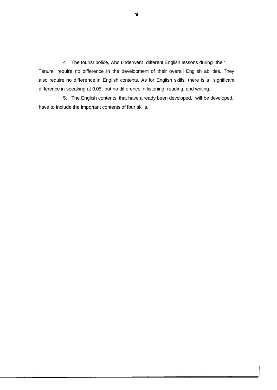4. The tourist police, who underwent different English lessons during their Tenure, require no difference in the development of their overall English abilities. They also require no difference in English contents. As for English skills, there is a significant difference in speaking at 0.05, but no difference in listening, reading, and writing.

5. The English contents, that have already been developed, will be developed, have to include the important contents of four skills.